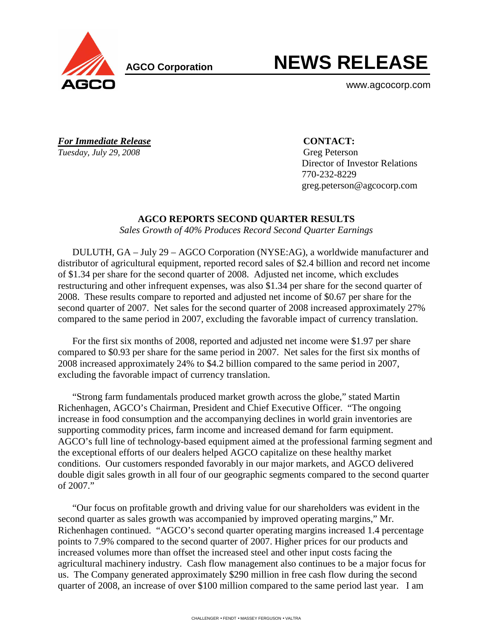

**AGCO Corporation** 

# **NEWS RELEASE**

www.agcocorp.com

*For Immediate Release* **CONTACT:** *Tuesday, July 29, 2008* Greg Peterson

 Director of Investor Relations 770-232-8229 greg.peterson@agcocorp.com

# **AGCO REPORTS SECOND QUARTER RESULTS**

*Sales Growth of 40% Produces Record Second Quarter Earnings* 

DULUTH, GA – July 29 – AGCO Corporation (NYSE:AG), a worldwide manufacturer and distributor of agricultural equipment, reported record sales of \$2.4 billion and record net income of \$1.34 per share for the second quarter of 2008. Adjusted net income, which excludes restructuring and other infrequent expenses, was also \$1.34 per share for the second quarter of 2008. These results compare to reported and adjusted net income of \$0.67 per share for the second quarter of 2007. Net sales for the second quarter of 2008 increased approximately 27% compared to the same period in 2007, excluding the favorable impact of currency translation.

For the first six months of 2008, reported and adjusted net income were \$1.97 per share compared to \$0.93 per share for the same period in 2007. Net sales for the first six months of 2008 increased approximately 24% to \$4.2 billion compared to the same period in 2007, excluding the favorable impact of currency translation.

"Strong farm fundamentals produced market growth across the globe," stated Martin Richenhagen, AGCO's Chairman, President and Chief Executive Officer. "The ongoing increase in food consumption and the accompanying declines in world grain inventories are supporting commodity prices, farm income and increased demand for farm equipment. AGCO's full line of technology-based equipment aimed at the professional farming segment and the exceptional efforts of our dealers helped AGCO capitalize on these healthy market conditions. Our customers responded favorably in our major markets, and AGCO delivered double digit sales growth in all four of our geographic segments compared to the second quarter of 2007."

"Our focus on profitable growth and driving value for our shareholders was evident in the second quarter as sales growth was accompanied by improved operating margins," Mr. Richenhagen continued. "AGCO's second quarter operating margins increased 1.4 percentage points to 7.9% compared to the second quarter of 2007. Higher prices for our products and increased volumes more than offset the increased steel and other input costs facing the agricultural machinery industry. Cash flow management also continues to be a major focus for us. The Company generated approximately \$290 million in free cash flow during the second quarter of 2008, an increase of over \$100 million compared to the same period last year. I am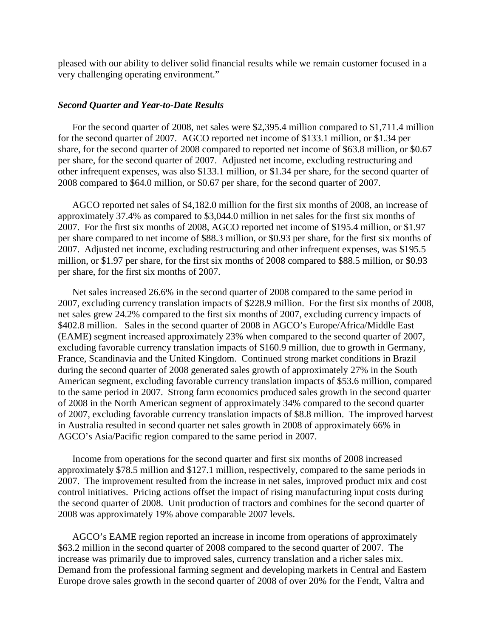pleased with our ability to deliver solid financial results while we remain customer focused in a very challenging operating environment."

#### *Second Quarter and Year-to-Date Results*

For the second quarter of 2008, net sales were \$2,395.4 million compared to \$1,711.4 million for the second quarter of 2007. AGCO reported net income of \$133.1 million, or \$1.34 per share, for the second quarter of 2008 compared to reported net income of \$63.8 million, or \$0.67 per share, for the second quarter of 2007. Adjusted net income, excluding restructuring and other infrequent expenses, was also \$133.1 million, or \$1.34 per share, for the second quarter of 2008 compared to \$64.0 million, or \$0.67 per share, for the second quarter of 2007.

AGCO reported net sales of \$4,182.0 million for the first six months of 2008, an increase of approximately 37.4% as compared to \$3,044.0 million in net sales for the first six months of 2007. For the first six months of 2008, AGCO reported net income of \$195.4 million, or \$1.97 per share compared to net income of \$88.3 million, or \$0.93 per share, for the first six months of 2007. Adjusted net income, excluding restructuring and other infrequent expenses, was \$195.5 million, or \$1.97 per share, for the first six months of 2008 compared to \$88.5 million, or \$0.93 per share, for the first six months of 2007.

Net sales increased 26.6% in the second quarter of 2008 compared to the same period in 2007, excluding currency translation impacts of \$228.9 million. For the first six months of 2008, net sales grew 24.2% compared to the first six months of 2007, excluding currency impacts of \$402.8 million. Sales in the second quarter of 2008 in AGCO's Europe/Africa/Middle East (EAME) segment increased approximately 23% when compared to the second quarter of 2007, excluding favorable currency translation impacts of \$160.9 million, due to growth in Germany, France, Scandinavia and the United Kingdom. Continued strong market conditions in Brazil during the second quarter of 2008 generated sales growth of approximately 27% in the South American segment, excluding favorable currency translation impacts of \$53.6 million, compared to the same period in 2007. Strong farm economics produced sales growth in the second quarter of 2008 in the North American segment of approximately 34% compared to the second quarter of 2007, excluding favorable currency translation impacts of \$8.8 million. The improved harvest in Australia resulted in second quarter net sales growth in 2008 of approximately 66% in AGCO's Asia/Pacific region compared to the same period in 2007.

Income from operations for the second quarter and first six months of 2008 increased approximately \$78.5 million and \$127.1 million, respectively, compared to the same periods in 2007. The improvement resulted from the increase in net sales, improved product mix and cost control initiatives. Pricing actions offset the impact of rising manufacturing input costs during the second quarter of 2008. Unit production of tractors and combines for the second quarter of 2008 was approximately 19% above comparable 2007 levels.

AGCO's EAME region reported an increase in income from operations of approximately \$63.2 million in the second quarter of 2008 compared to the second quarter of 2007. The increase was primarily due to improved sales, currency translation and a richer sales mix. Demand from the professional farming segment and developing markets in Central and Eastern Europe drove sales growth in the second quarter of 2008 of over 20% for the Fendt, Valtra and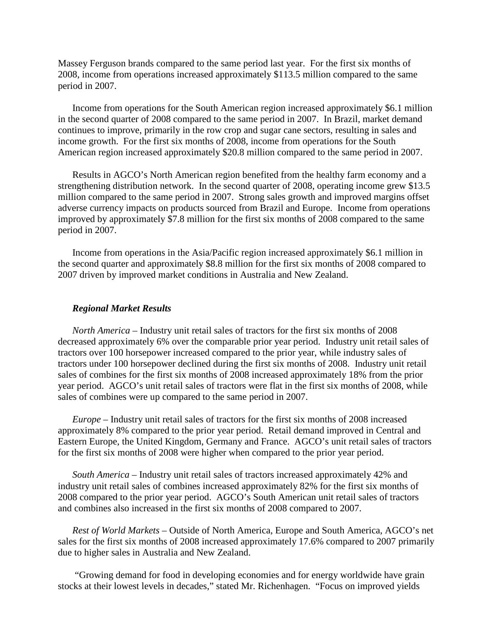Massey Ferguson brands compared to the same period last year. For the first six months of 2008, income from operations increased approximately \$113.5 million compared to the same period in 2007.

Income from operations for the South American region increased approximately \$6.1 million in the second quarter of 2008 compared to the same period in 2007. In Brazil, market demand continues to improve, primarily in the row crop and sugar cane sectors, resulting in sales and income growth. For the first six months of 2008, income from operations for the South American region increased approximately \$20.8 million compared to the same period in 2007.

Results in AGCO's North American region benefited from the healthy farm economy and a strengthening distribution network. In the second quarter of 2008, operating income grew \$13.5 million compared to the same period in 2007. Strong sales growth and improved margins offset adverse currency impacts on products sourced from Brazil and Europe. Income from operations improved by approximately \$7.8 million for the first six months of 2008 compared to the same period in 2007.

Income from operations in the Asia/Pacific region increased approximately \$6.1 million in the second quarter and approximately \$8.8 million for the first six months of 2008 compared to 2007 driven by improved market conditions in Australia and New Zealand.

#### *Regional Market Results*

*North America* – Industry unit retail sales of tractors for the first six months of 2008 decreased approximately 6% over the comparable prior year period. Industry unit retail sales of tractors over 100 horsepower increased compared to the prior year, while industry sales of tractors under 100 horsepower declined during the first six months of 2008. Industry unit retail sales of combines for the first six months of 2008 increased approximately 18% from the prior year period. AGCO's unit retail sales of tractors were flat in the first six months of 2008, while sales of combines were up compared to the same period in 2007.

*Europe –* Industry unit retail sales of tractors for the first six months of 2008 increased approximately 8% compared to the prior year period. Retail demand improved in Central and Eastern Europe, the United Kingdom, Germany and France. AGCO's unit retail sales of tractors for the first six months of 2008 were higher when compared to the prior year period.

*South America –* Industry unit retail sales of tractors increased approximately 42% and industry unit retail sales of combines increased approximately 82% for the first six months of 2008 compared to the prior year period. AGCO's South American unit retail sales of tractors and combines also increased in the first six months of 2008 compared to 2007.

*Rest of World Markets –* Outside of North America, Europe and South America, AGCO's net sales for the first six months of 2008 increased approximately 17.6% compared to 2007 primarily due to higher sales in Australia and New Zealand.

 "Growing demand for food in developing economies and for energy worldwide have grain stocks at their lowest levels in decades," stated Mr. Richenhagen. "Focus on improved yields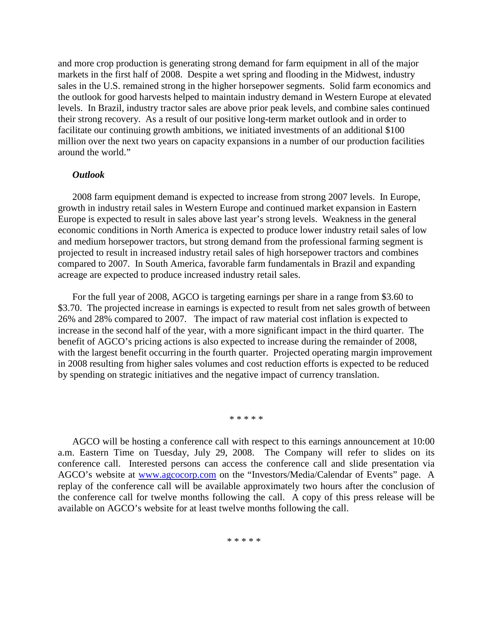and more crop production is generating strong demand for farm equipment in all of the major markets in the first half of 2008. Despite a wet spring and flooding in the Midwest, industry sales in the U.S. remained strong in the higher horsepower segments. Solid farm economics and the outlook for good harvests helped to maintain industry demand in Western Europe at elevated levels. In Brazil, industry tractor sales are above prior peak levels, and combine sales continued their strong recovery. As a result of our positive long-term market outlook and in order to facilitate our continuing growth ambitions, we initiated investments of an additional \$100 million over the next two years on capacity expansions in a number of our production facilities around the world."

#### *Outlook*

2008 farm equipment demand is expected to increase from strong 2007 levels. In Europe, growth in industry retail sales in Western Europe and continued market expansion in Eastern Europe is expected to result in sales above last year's strong levels. Weakness in the general economic conditions in North America is expected to produce lower industry retail sales of low and medium horsepower tractors, but strong demand from the professional farming segment is projected to result in increased industry retail sales of high horsepower tractors and combines compared to 2007. In South America, favorable farm fundamentals in Brazil and expanding acreage are expected to produce increased industry retail sales.

For the full year of 2008, AGCO is targeting earnings per share in a range from \$3.60 to \$3.70. The projected increase in earnings is expected to result from net sales growth of between 26% and 28% compared to 2007. The impact of raw material cost inflation is expected to increase in the second half of the year, with a more significant impact in the third quarter. The benefit of AGCO's pricing actions is also expected to increase during the remainder of 2008, with the largest benefit occurring in the fourth quarter. Projected operating margin improvement in 2008 resulting from higher sales volumes and cost reduction efforts is expected to be reduced by spending on strategic initiatives and the negative impact of currency translation.

\* \* \* \* \*

AGCO will be hosting a conference call with respect to this earnings announcement at 10:00 a.m. Eastern Time on Tuesday, July 29, 2008. The Company will refer to slides on its conference call. Interested persons can access the conference call and slide presentation via AGCO's website at www.agcocorp.com on the "Investors/Media/Calendar of Events" page. A replay of the conference call will be available approximately two hours after the conclusion of the conference call for twelve months following the call. A copy of this press release will be available on AGCO's website for at least twelve months following the call.

\* \* \* \* \*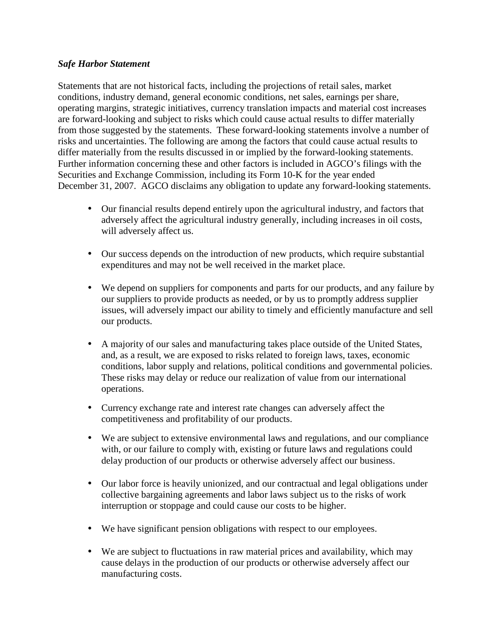# *Safe Harbor Statement*

Statements that are not historical facts, including the projections of retail sales, market conditions, industry demand, general economic conditions, net sales, earnings per share, operating margins, strategic initiatives, currency translation impacts and material cost increases are forward-looking and subject to risks which could cause actual results to differ materially from those suggested by the statements. These forward-looking statements involve a number of risks and uncertainties. The following are among the factors that could cause actual results to differ materially from the results discussed in or implied by the forward-looking statements. Further information concerning these and other factors is included in AGCO's filings with the Securities and Exchange Commission, including its Form 10-K for the year ended December 31, 2007. AGCO disclaims any obligation to update any forward-looking statements.

- Our financial results depend entirely upon the agricultural industry, and factors that adversely affect the agricultural industry generally, including increases in oil costs, will adversely affect us.
- Our success depends on the introduction of new products, which require substantial expenditures and may not be well received in the market place.
- We depend on suppliers for components and parts for our products, and any failure by our suppliers to provide products as needed, or by us to promptly address supplier issues, will adversely impact our ability to timely and efficiently manufacture and sell our products.
- A majority of our sales and manufacturing takes place outside of the United States, and, as a result, we are exposed to risks related to foreign laws, taxes, economic conditions, labor supply and relations, political conditions and governmental policies. These risks may delay or reduce our realization of value from our international operations.
- Currency exchange rate and interest rate changes can adversely affect the competitiveness and profitability of our products.
- We are subject to extensive environmental laws and regulations, and our compliance with, or our failure to comply with, existing or future laws and regulations could delay production of our products or otherwise adversely affect our business.
- Our labor force is heavily unionized, and our contractual and legal obligations under collective bargaining agreements and labor laws subject us to the risks of work interruption or stoppage and could cause our costs to be higher.
- We have significant pension obligations with respect to our employees.
- We are subject to fluctuations in raw material prices and availability, which may cause delays in the production of our products or otherwise adversely affect our manufacturing costs.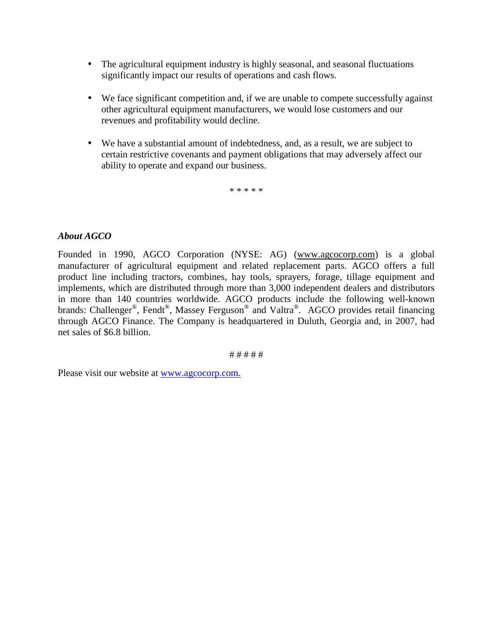- The agricultural equipment industry is highly seasonal, and seasonal fluctuations significantly impact our results of operations and cash flows.
- We face significant competition and, if we are unable to compete successfully against other agricultural equipment manufacturers, we would lose customers and our revenues and profitability would decline.
- We have a substantial amount of indebtedness, and, as a result, we are subject to certain restrictive covenants and payment obligations that may adversely affect our ability to operate and expand our business.

\* \* \* \* \*

# *About AGCO*

Founded in 1990, AGCO Corporation (NYSE: AG) (www.agcocorp.com) is a global manufacturer of agricultural equipment and related replacement parts. AGCO offers a full product line including tractors, combines, hay tools, sprayers, forage, tillage equipment and implements, which are distributed through more than 3,000 independent dealers and distributors in more than 140 countries worldwide. AGCO products include the following well-known brands: Challenger<sup>®</sup>, Fendt<sup>®</sup>, Massey Ferguson<sup>®</sup> and Valtra®. AGCO provides retail financing through AGCO Finance. The Company is headquartered in Duluth, Georgia and, in 2007, had net sales of \$6.8 billion.

# # # # #

Please visit our website at www.agcocorp.com.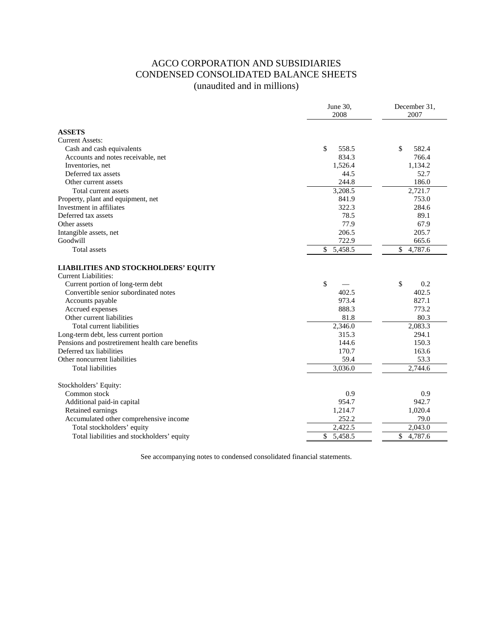# AGCO CORPORATION AND SUBSIDIARIES CONDENSED CONSOLIDATED BALANCE SHEETS (unaudited and in millions)

|                                                                            | June 30,<br>2008 | December 31,<br>2007    |
|----------------------------------------------------------------------------|------------------|-------------------------|
| <b>ASSETS</b>                                                              |                  |                         |
| <b>Current Assets:</b>                                                     |                  |                         |
| Cash and cash equivalents                                                  | \$<br>558.5      | \$<br>582.4             |
| Accounts and notes receivable, net                                         | 834.3            | 766.4                   |
| Inventories, net                                                           | 1,526.4          | 1,134.2                 |
| Deferred tax assets                                                        | 44.5             | 52.7                    |
| Other current assets                                                       | 244.8            | 186.0                   |
| Total current assets                                                       | 3,208.5          | 2,721.7                 |
| Property, plant and equipment, net                                         | 841.9            | 753.0                   |
| Investment in affiliates                                                   | 322.3            | 284.6                   |
| Deferred tax assets                                                        | 78.5             | 89.1                    |
| Other assets                                                               | 77.9             | 67.9                    |
| Intangible assets, net                                                     | 206.5            | 205.7                   |
| Goodwill                                                                   | 722.9            | 665.6                   |
| Total assets                                                               | \$<br>5,458.5    | \$<br>4,787.6           |
| <b>LIABILITIES AND STOCKHOLDERS' EQUITY</b><br><b>Current Liabilities:</b> |                  |                         |
| Current portion of long-term debt                                          | \$               | \$<br>0.2               |
| Convertible senior subordinated notes                                      | 402.5            | 402.5                   |
| Accounts payable                                                           | 973.4            | 827.1                   |
| Accrued expenses                                                           | 888.3            | 773.2                   |
| Other current liabilities                                                  | 81.8             | 80.3                    |
| Total current liabilities                                                  | 2,346.0          | 2,083.3                 |
| Long-term debt, less current portion                                       | 315.3            | 294.1                   |
| Pensions and postretirement health care benefits                           | 144.6            | 150.3                   |
| Deferred tax liabilities                                                   | 170.7            | 163.6                   |
| Other noncurrent liabilities                                               | 59.4             | 53.3                    |
| <b>Total liabilities</b>                                                   | 3,036.0          | 2,744.6                 |
| Stockholders' Equity:                                                      |                  |                         |
| Common stock                                                               | 0.9              | 0.9                     |
| Additional paid-in capital                                                 | 954.7            | 942.7                   |
| Retained earnings                                                          | 1,214.7          | 1,020.4                 |
| Accumulated other comprehensive income                                     | 252.2            | 79.0                    |
| Total stockholders' equity                                                 | 2,422.5          | 2,043.0                 |
| Total liabilities and stockholders' equity                                 | \$<br>5,458.5    | $\mathbb{S}$<br>4,787.6 |
|                                                                            |                  |                         |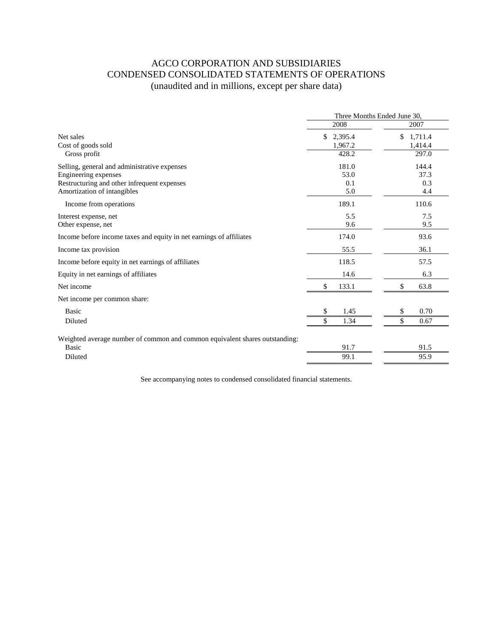# AGCO CORPORATION AND SUBSIDIARIES CONDENSED CONSOLIDATED STATEMENTS OF OPERATIONS (unaudited and in millions, except per share data)

|                                                                             | Three Months Ended June 30, |               |  |  |
|-----------------------------------------------------------------------------|-----------------------------|---------------|--|--|
|                                                                             | 2008                        | 2007          |  |  |
| Net sales                                                                   | \$2,395.4                   | \$<br>1,711.4 |  |  |
| Cost of goods sold                                                          | 1,967.2                     | 1,414.4       |  |  |
| Gross profit                                                                | 428.2                       | 297.0         |  |  |
| Selling, general and administrative expenses                                | 181.0                       | 144.4         |  |  |
| Engineering expenses                                                        | 53.0                        | 37.3          |  |  |
| Restructuring and other infrequent expenses                                 | 0.1                         | 0.3           |  |  |
| Amortization of intangibles                                                 | 5.0                         | 4.4           |  |  |
| Income from operations                                                      | 189.1                       | 110.6         |  |  |
| Interest expense, net                                                       | 5.5                         | 7.5           |  |  |
| Other expense, net                                                          | 9.6                         | 9.5           |  |  |
| Income before income taxes and equity in net earnings of affiliates         | 174.0                       | 93.6          |  |  |
| Income tax provision                                                        | 55.5                        | 36.1          |  |  |
| Income before equity in net earnings of affiliates                          | 118.5                       | 57.5          |  |  |
| Equity in net earnings of affiliates                                        | 14.6                        | 6.3           |  |  |
| Net income                                                                  | \$<br>133.1                 | \$<br>63.8    |  |  |
| Net income per common share:                                                |                             |               |  |  |
| <b>Basic</b>                                                                | 1.45<br>\$                  | 0.70<br>\$    |  |  |
| Diluted                                                                     | \$<br>1.34                  | \$<br>0.67    |  |  |
| Weighted average number of common and common equivalent shares outstanding: |                             |               |  |  |
| Basic                                                                       | 91.7                        | 91.5          |  |  |
| Diluted                                                                     | 99.1                        | 95.9          |  |  |
|                                                                             |                             |               |  |  |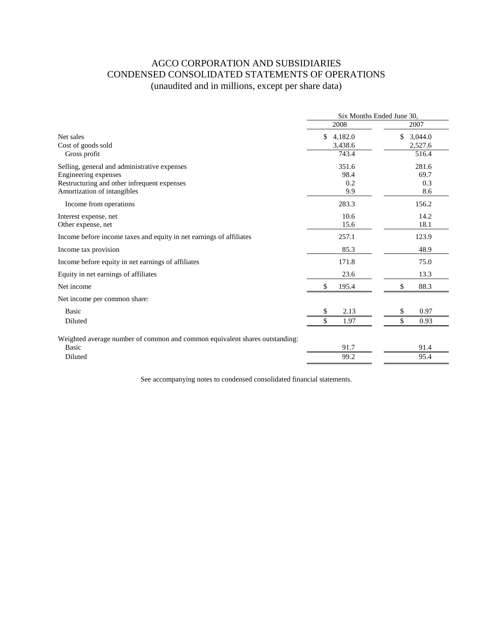# AGCO CORPORATION AND SUBSIDIARIES CONDENSED CONSOLIDATED STATEMENTS OF OPERATIONS (unaudited and in millions, except per share data)

|                                                                             | Six Months Ended June 30, |               |  |
|-----------------------------------------------------------------------------|---------------------------|---------------|--|
|                                                                             | 2008                      | 2007          |  |
| Net sales                                                                   | \$4,182.0                 | \$<br>3,044.0 |  |
| Cost of goods sold                                                          | 3,438.6                   | 2,527.6       |  |
| Gross profit                                                                | 743.4                     | 516.4         |  |
| Selling, general and administrative expenses                                | 351.6                     | 281.6         |  |
| Engineering expenses                                                        | 98.4                      | 69.7          |  |
| Restructuring and other infrequent expenses                                 | 0.2                       | 0.3           |  |
| Amortization of intangibles                                                 | 9.9                       | 8.6           |  |
| Income from operations                                                      | 283.3                     | 156.2         |  |
| Interest expense, net                                                       | 10.6                      | 14.2          |  |
| Other expense, net                                                          | 15.6                      | 18.1          |  |
| Income before income taxes and equity in net earnings of affiliates         | 257.1                     | 123.9         |  |
| Income tax provision                                                        | 85.3                      | 48.9          |  |
| Income before equity in net earnings of affiliates                          | 171.8                     | 75.0          |  |
| Equity in net earnings of affiliates                                        | 23.6                      | 13.3          |  |
| Net income                                                                  | \$<br>195.4               | \$<br>88.3    |  |
| Net income per common share:                                                |                           |               |  |
| <b>Basic</b>                                                                | 2.13<br>\$                | 0.97<br>\$    |  |
| Diluted                                                                     | \$<br>1.97                | \$<br>0.93    |  |
| Weighted average number of common and common equivalent shares outstanding: |                           |               |  |
| <b>Basic</b>                                                                | 91.7                      | 91.4          |  |
| Diluted                                                                     | 99.2                      | 95.4          |  |
|                                                                             |                           |               |  |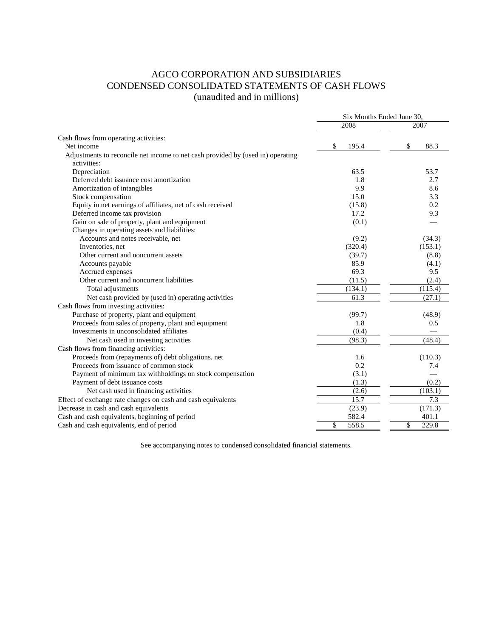# AGCO CORPORATION AND SUBSIDIARIES CONDENSED CONSOLIDATED STATEMENTS OF CASH FLOWS (unaudited and in millions)

|                                                                                 | Six Months Ended June 30, |             |  |
|---------------------------------------------------------------------------------|---------------------------|-------------|--|
|                                                                                 | 2008                      | 2007        |  |
| Cash flows from operating activities:                                           |                           |             |  |
| Net income                                                                      | \$<br>195.4               | 88.3<br>\$  |  |
| Adjustments to reconcile net income to net cash provided by (used in) operating |                           |             |  |
| activities:                                                                     |                           |             |  |
| Depreciation                                                                    | 63.5                      | 53.7        |  |
| Deferred debt issuance cost amortization                                        | 1.8                       | 2.7         |  |
| Amortization of intangibles                                                     | 9.9                       | 8.6         |  |
| Stock compensation                                                              | 15.0                      | 3.3         |  |
| Equity in net earnings of affiliates, net of cash received                      | (15.8)                    | 0.2         |  |
| Deferred income tax provision                                                   | 17.2                      | 9.3         |  |
| Gain on sale of property, plant and equipment                                   | (0.1)                     |             |  |
| Changes in operating assets and liabilities:                                    |                           |             |  |
| Accounts and notes receivable, net                                              | (9.2)                     | (34.3)      |  |
| Inventories, net                                                                | (320.4)                   | (153.1)     |  |
| Other current and noncurrent assets                                             | (39.7)                    | (8.8)       |  |
| Accounts payable                                                                | 85.9                      | (4.1)       |  |
| Accrued expenses                                                                | 69.3                      | 9.5         |  |
| Other current and noncurrent liabilities                                        | (11.5)                    | (2.4)       |  |
| Total adjustments                                                               | (134.1)                   | (115.4)     |  |
| Net cash provided by (used in) operating activities                             | 61.3                      | (27.1)      |  |
| Cash flows from investing activities:                                           |                           |             |  |
| Purchase of property, plant and equipment                                       | (99.7)                    | (48.9)      |  |
| Proceeds from sales of property, plant and equipment                            | 1.8                       | 0.5         |  |
| Investments in unconsolidated affiliates                                        | (0.4)                     |             |  |
| Net cash used in investing activities                                           | (98.3)                    | (48.4)      |  |
| Cash flows from financing activities:                                           |                           |             |  |
| Proceeds from (repayments of) debt obligations, net                             | 1.6                       | (110.3)     |  |
| Proceeds from issuance of common stock                                          | 0.2                       | 7.4         |  |
| Payment of minimum tax withholdings on stock compensation                       | (3.1)                     |             |  |
| Payment of debt issuance costs                                                  | (1.3)                     | (0.2)       |  |
| Net cash used in financing activities                                           | (2.6)                     | (103.1)     |  |
| Effect of exchange rate changes on cash and cash equivalents                    | 15.7                      | 7.3         |  |
| Decrease in cash and cash equivalents                                           | (23.9)                    | (171.3)     |  |
| Cash and cash equivalents, beginning of period                                  | 582.4                     | 401.1       |  |
| Cash and cash equivalents, end of period                                        | \$<br>558.5               | \$<br>229.8 |  |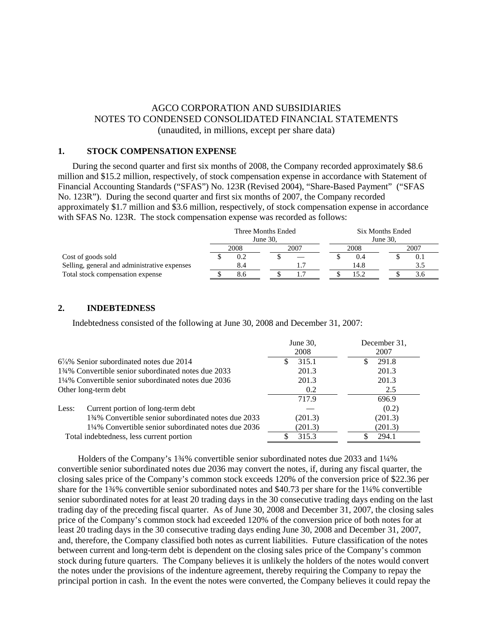# AGCO CORPORATION AND SUBSIDIARIES NOTES TO CONDENSED CONSOLIDATED FINANCIAL STATEMENTS (unaudited, in millions, except per share data)

#### **1. STOCK COMPENSATION EXPENSE**

During the second quarter and first six months of 2008, the Company recorded approximately \$8.6 million and \$15.2 million, respectively, of stock compensation expense in accordance with Statement of Financial Accounting Standards ("SFAS") No. 123R (Revised 2004), "Share-Based Payment" ("SFAS No. 123R"). During the second quarter and first six months of 2007, the Company recorded approximately \$1.7 million and \$3.6 million, respectively, of stock compensation expense in accordance with SFAS No. 123R. The stock compensation expense was recorded as follows:

|                                              |      | Three Months Ended |      |  |             | Six Months Ended |  |      |  |
|----------------------------------------------|------|--------------------|------|--|-------------|------------------|--|------|--|
|                                              |      | June $30$ .        |      |  | June $30$ . |                  |  |      |  |
|                                              | 2008 |                    | 2007 |  | 2008        |                  |  | 2007 |  |
| Cost of goods sold                           |      |                    |      |  |             | 0.4              |  | V.I  |  |
| Selling, general and administrative expenses |      | 8.4                |      |  |             | 14.8             |  |      |  |
| Total stock compensation expense             |      | 8.0                |      |  |             | 15.2             |  | o    |  |

#### **2. INDEBTEDNESS**

Indebtedness consisted of the following at June 30, 2008 and December 31, 2007:

|                                                     | June 30,<br>2008 | December 31,<br>2007 |
|-----------------------------------------------------|------------------|----------------------|
| $6\frac{7}{8}\%$ Senior subordinated notes due 2014 | 315.1            | 291.8                |
| 134% Convertible senior subordinated notes due 2033 | 201.3            | 201.3                |
| 1¼% Convertible senior subordinated notes due 2036  | 201.3            | 201.3                |
| Other long-term debt                                | 0.2              | 2.5                  |
|                                                     | 717.9            | 696.9                |
| Current portion of long-term debt<br>Less:          |                  | (0.2)                |
| 134% Convertible senior subordinated notes due 2033 | (201.3)          | (201.3)              |
| 1¼% Convertible senior subordinated notes due 2036  | (201.3)          | (201.3)              |
| Total indebtedness, less current portion            | 315.3            | 294.1                |

 Holders of the Company's 1¾% convertible senior subordinated notes due 2033 and 1¼% convertible senior subordinated notes due 2036 may convert the notes, if, during any fiscal quarter, the closing sales price of the Company's common stock exceeds 120% of the conversion price of \$22.36 per share for the 1¾% convertible senior subordinated notes and \$40.73 per share for the 1¼% convertible senior subordinated notes for at least 20 trading days in the 30 consecutive trading days ending on the last trading day of the preceding fiscal quarter. As of June 30, 2008 and December 31, 2007, the closing sales price of the Company's common stock had exceeded 120% of the conversion price of both notes for at least 20 trading days in the 30 consecutive trading days ending June 30, 2008 and December 31, 2007, and, therefore, the Company classified both notes as current liabilities. Future classification of the notes between current and long-term debt is dependent on the closing sales price of the Company's common stock during future quarters. The Company believes it is unlikely the holders of the notes would convert the notes under the provisions of the indenture agreement, thereby requiring the Company to repay the principal portion in cash. In the event the notes were converted, the Company believes it could repay the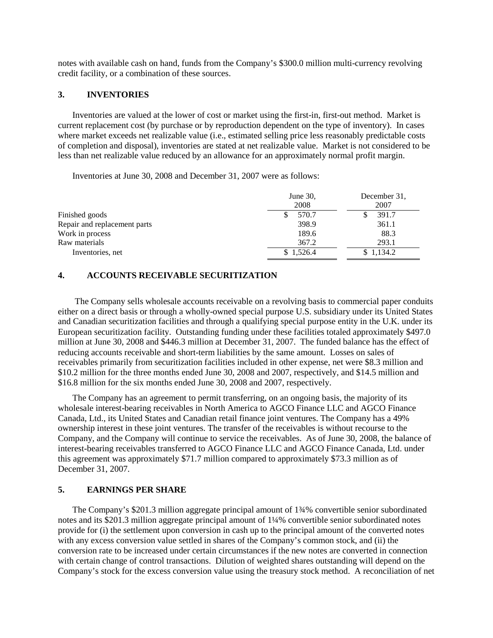notes with available cash on hand, funds from the Company's \$300.0 million multi-currency revolving credit facility, or a combination of these sources.

## **3. INVENTORIES**

Inventories are valued at the lower of cost or market using the first-in, first-out method. Market is current replacement cost (by purchase or by reproduction dependent on the type of inventory). In cases where market exceeds net realizable value (i.e., estimated selling price less reasonably predictable costs of completion and disposal), inventories are stated at net realizable value. Market is not considered to be less than net realizable value reduced by an allowance for an approximately normal profit margin.

Inventories at June 30, 2008 and December 31, 2007 were as follows:

|                              | June 30,<br>2008 | December 31,<br>2007 |
|------------------------------|------------------|----------------------|
| Finished goods               | 570.7            | 391.7                |
| Repair and replacement parts | 398.9            | 361.1                |
| Work in process              | 189.6            | 88.3                 |
| Raw materials                | 367.2            | 293.1                |
| Inventories, net             | \$1,526.4        | \$1.134.2            |

# **4. ACCOUNTS RECEIVABLE SECURITIZATION**

The Company sells wholesale accounts receivable on a revolving basis to commercial paper conduits either on a direct basis or through a wholly-owned special purpose U.S. subsidiary under its United States and Canadian securitization facilities and through a qualifying special purpose entity in the U.K. under its European securitization facility. Outstanding funding under these facilities totaled approximately \$497.0 million at June 30, 2008 and \$446.3 million at December 31, 2007. The funded balance has the effect of reducing accounts receivable and short-term liabilities by the same amount. Losses on sales of receivables primarily from securitization facilities included in other expense, net were \$8.3 million and \$10.2 million for the three months ended June 30, 2008 and 2007, respectively, and \$14.5 million and \$16.8 million for the six months ended June 30, 2008 and 2007, respectively.

The Company has an agreement to permit transferring, on an ongoing basis, the majority of its wholesale interest-bearing receivables in North America to AGCO Finance LLC and AGCO Finance Canada, Ltd., its United States and Canadian retail finance joint ventures. The Company has a 49% ownership interest in these joint ventures. The transfer of the receivables is without recourse to the Company, and the Company will continue to service the receivables. As of June 30, 2008, the balance of interest-bearing receivables transferred to AGCO Finance LLC and AGCO Finance Canada, Ltd. under this agreement was approximately \$71.7 million compared to approximately \$73.3 million as of December 31, 2007.

## **5. EARNINGS PER SHARE**

The Company's \$201.3 million aggregate principal amount of 1¾% convertible senior subordinated notes and its \$201.3 million aggregate principal amount of 1¼% convertible senior subordinated notes provide for (i) the settlement upon conversion in cash up to the principal amount of the converted notes with any excess conversion value settled in shares of the Company's common stock, and (ii) the conversion rate to be increased under certain circumstances if the new notes are converted in connection with certain change of control transactions. Dilution of weighted shares outstanding will depend on the Company's stock for the excess conversion value using the treasury stock method. A reconciliation of net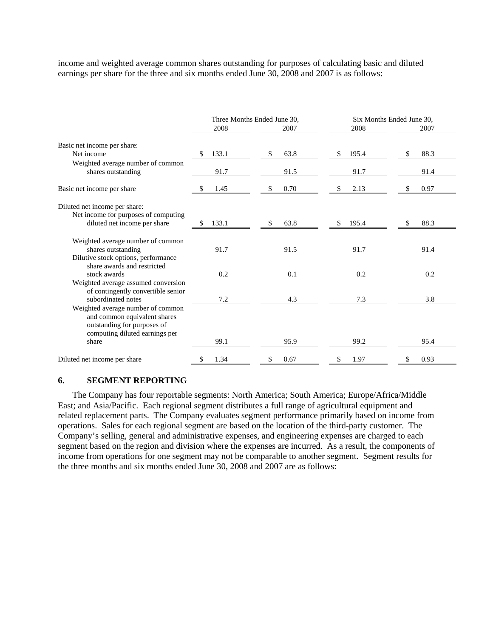income and weighted average common shares outstanding for purposes of calculating basic and diluted earnings per share for the three and six months ended June 30, 2008 and 2007 is as follows:

|                                                                                                                                    |            | Three Months Ended June 30, | Six Months Ended June 30, |           |  |  |
|------------------------------------------------------------------------------------------------------------------------------------|------------|-----------------------------|---------------------------|-----------|--|--|
|                                                                                                                                    | 2008       | 2007                        | 2008                      | 2007      |  |  |
| Basic net income per share:                                                                                                        |            |                             |                           |           |  |  |
| Net income                                                                                                                         | 133.1<br>S | 63.8<br>S                   | 195.4<br>\$               | 88.3      |  |  |
| Weighted average number of common<br>shares outstanding                                                                            | 91.7       | 91.5                        | 91.7                      | 91.4      |  |  |
| Basic net income per share                                                                                                         | 1.45       | 0.70                        | 2.13<br>\$                | 0.97<br>S |  |  |
| Diluted net income per share:                                                                                                      |            |                             |                           |           |  |  |
| Net income for purposes of computing<br>diluted net income per share                                                               | 133.1<br>S | 63.8                        | 195.4<br>S.               | 88.3      |  |  |
| Weighted average number of common                                                                                                  |            |                             |                           |           |  |  |
| shares outstanding                                                                                                                 | 91.7       | 91.5                        | 91.7                      | 91.4      |  |  |
| Dilutive stock options, performance<br>share awards and restricted                                                                 |            |                             |                           |           |  |  |
| stock awards                                                                                                                       | 0.2        | 0.1                         | 0.2                       | 0.2       |  |  |
| Weighted average assumed conversion<br>of contingently convertible senior                                                          |            |                             |                           |           |  |  |
| subordinated notes                                                                                                                 | 7.2        | 4.3                         | 7.3                       | 3.8       |  |  |
| Weighted average number of common<br>and common equivalent shares<br>outstanding for purposes of<br>computing diluted earnings per |            |                             |                           |           |  |  |
| share                                                                                                                              | 99.1       | 95.9                        | 99.2                      | 95.4      |  |  |
| Diluted net income per share                                                                                                       | 1.34       | 0.67                        | 1.97                      | 0.93      |  |  |

#### **6. SEGMENT REPORTING**

The Company has four reportable segments: North America; South America; Europe/Africa/Middle East; and Asia/Pacific. Each regional segment distributes a full range of agricultural equipment and related replacement parts. The Company evaluates segment performance primarily based on income from operations. Sales for each regional segment are based on the location of the third-party customer. The Company's selling, general and administrative expenses, and engineering expenses are charged to each segment based on the region and division where the expenses are incurred. As a result, the components of income from operations for one segment may not be comparable to another segment. Segment results for the three months and six months ended June 30, 2008 and 2007 are as follows: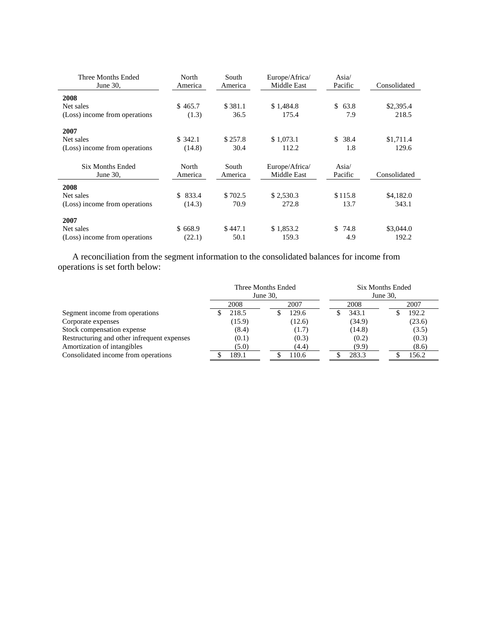| Three Months Ended            | North   | South   | Europe/Africa/ | Asia $\sqrt{ }$ |              |
|-------------------------------|---------|---------|----------------|-----------------|--------------|
| June 30,                      | America | America | Middle East    | Pacific         | Consolidated |
| 2008                          |         |         |                |                 |              |
| Net sales                     | \$465.7 | \$381.1 | \$1,484.8      | \$<br>63.8      | \$2,395.4    |
| (Loss) income from operations | (1.3)   | 36.5    | 175.4          | 7.9             | 218.5        |
| 2007                          |         |         |                |                 |              |
| Net sales                     | \$342.1 | \$257.8 | \$1,073.1      | \$38.4          | \$1,711.4    |
| (Loss) income from operations | (14.8)  | 30.4    | 112.2          | 1.8             | 129.6        |
| Six Months Ended              | North   | South   | Europe/Africa/ | Asia/           |              |
| June $30$ ,                   | America | America | Middle East    | Pacific         | Consolidated |
| 2008                          |         |         |                |                 |              |
| Net sales                     | \$833.4 | \$702.5 | \$2,530.3      | \$115.8         | \$4,182.0    |
| (Loss) income from operations | (14.3)  | 70.9    | 272.8          | 13.7            | 343.1        |
| 2007                          |         |         |                |                 |              |
| Net sales                     | \$668.9 | \$447.1 | \$1,853.2      | 74.8<br>\$      | \$3,044.0    |
| (Loss) income from operations | (22.1)  | 50.1    | 159.3          | 4.9             | 192.2        |

A reconciliation from the segment information to the consolidated balances for income from operations is set forth below:

|                                             | Three Months Ended<br>June 30, |        |      |        |      | <b>Six Months Ended</b><br>June 30, |  |        |
|---------------------------------------------|--------------------------------|--------|------|--------|------|-------------------------------------|--|--------|
|                                             |                                | 2008   | 2007 |        | 2008 |                                     |  | 2007   |
| Segment income from operations              |                                | 218.5  |      | 129.6  |      | 343.1                               |  | 192.2  |
| Corporate expenses                          |                                | (15.9) |      | (12.6) |      | (34.9)                              |  | (23.6) |
| Stock compensation expense                  |                                | (8.4)  |      | (1.7)  |      | (14.8)                              |  | (3.5)  |
| Restructuring and other infrequent expenses |                                | (0.1)  |      | (0.3)  |      | (0.2)                               |  | (0.3)  |
| Amortization of intangibles                 |                                | (5.0)  |      | (4.4)  |      | (9.9)                               |  | (8.6)  |
| Consolidated income from operations         |                                | 189.1  |      | 110.6  |      | 283.3                               |  | 156.2  |